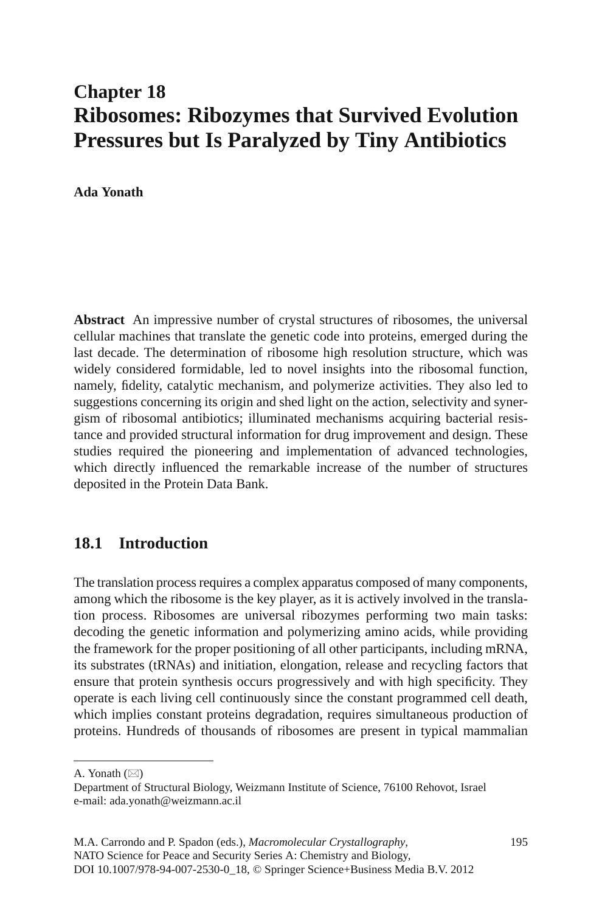# **Chapter 18 Ribosomes: Ribozymes that Survived Evolution Pressures but Is Paralyzed by Tiny Antibiotics**

 **Ada Yonath** 

 **Abstract** An impressive number of crystal structures of ribosomes, the universal cellular machines that translate the genetic code into proteins, emerged during the last decade. The determination of ribosome high resolution structure, which was widely considered formidable, led to novel insights into the ribosomal function, namely, fidelity, catalytic mechanism, and polymerize activities. They also led to suggestions concerning its origin and shed light on the action, selectivity and synergism of ribosomal antibiotics; illuminated mechanisms acquiring bacterial resistance and provided structural information for drug improvement and design. These studies required the pioneering and implementation of advanced technologies, which directly influenced the remarkable increase of the number of structures deposited in the Protein Data Bank.

# **18.1 Introduction**

 The translation process requires a complex apparatus composed of many components, among which the ribosome is the key player, as it is actively involved in the translation process. Ribosomes are universal ribozymes performing two main tasks: decoding the genetic information and polymerizing amino acids, while providing the framework for the proper positioning of all other participants, including mRNA, its substrates (tRNAs) and initiation, elongation, release and recycling factors that ensure that protein synthesis occurs progressively and with high specificity. They operate is each living cell continuously since the constant programmed cell death, which implies constant proteins degradation, requires simultaneous production of proteins. Hundreds of thousands of ribosomes are present in typical mammalian

A. Yonath  $(\boxtimes)$ 

Department of Structural Biology, Weizmann Institute of Science, 76100 Rehovot, Israel e-mail: ada.yonath@weizmann.ac.il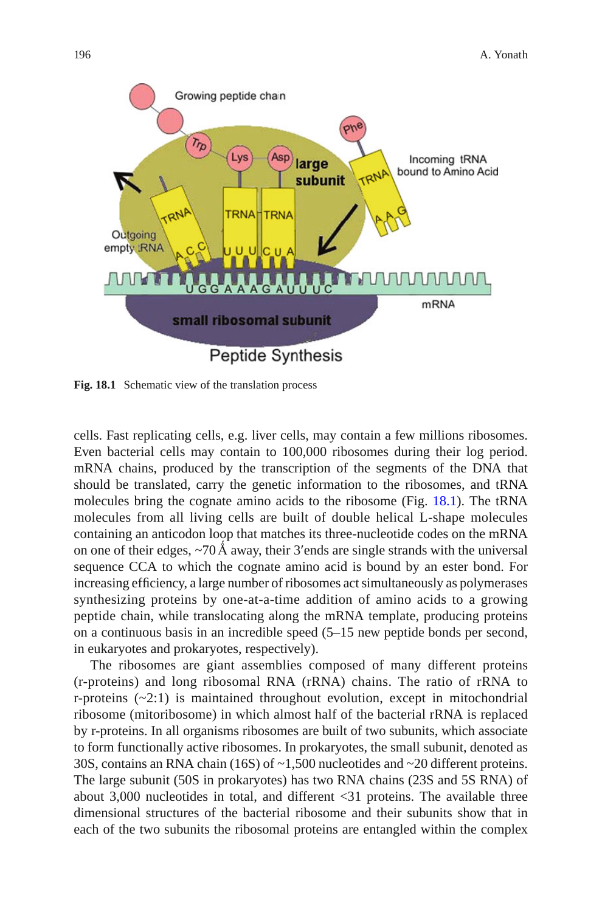

Fig. 18.1 Schematic view of the translation process

cells. Fast replicating cells, e.g. liver cells, may contain a few millions ribosomes. Even bacterial cells may contain to 100,000 ribosomes during their log period. mRNA chains, produced by the transcription of the segments of the DNA that should be translated, carry the genetic information to the ribosomes, and tRNA molecules bring the cognate amino acids to the ribosome (Fig. 18.1 ). The tRNA molecules from all living cells are built of double helical L-shape molecules containing an anticodon loop that matches its three-nucleotide codes on the mRNA on one of their edges,  $\sim$ 70 Å away, their 3' ends are single strands with the universal sequence CCA to which the cognate amino acid is bound by an ester bond. For increasing efficiency, a large number of ribosomes act simultaneously as polymerases synthesizing proteins by one-at-a-time addition of amino acids to a growing peptide chain, while translocating along the mRNA template, producing proteins on a continuous basis in an incredible speed (5–15 new peptide bonds per second, in eukaryotes and prokaryotes, respectively).

 The ribosomes are giant assemblies composed of many different proteins (r-proteins) and long ribosomal RNA (rRNA) chains. The ratio of rRNA to r-proteins  $(-2:1)$  is maintained throughout evolution, except in mitochondrial ribosome (mitoribosome) in which almost half of the bacterial rRNA is replaced by r-proteins. In all organisms ribosomes are built of two subunits, which associate to form functionally active ribosomes. In prokaryotes, the small subunit, denoted as 30S, contains an RNA chain (16S) of ~1,500 nucleotides and ~20 different proteins. The large subunit (50S in prokaryotes) has two RNA chains (23S and 5S RNA) of about 3,000 nucleotides in total, and different <31 proteins. The available three dimensional structures of the bacterial ribosome and their subunits show that in each of the two subunits the ribosomal proteins are entangled within the complex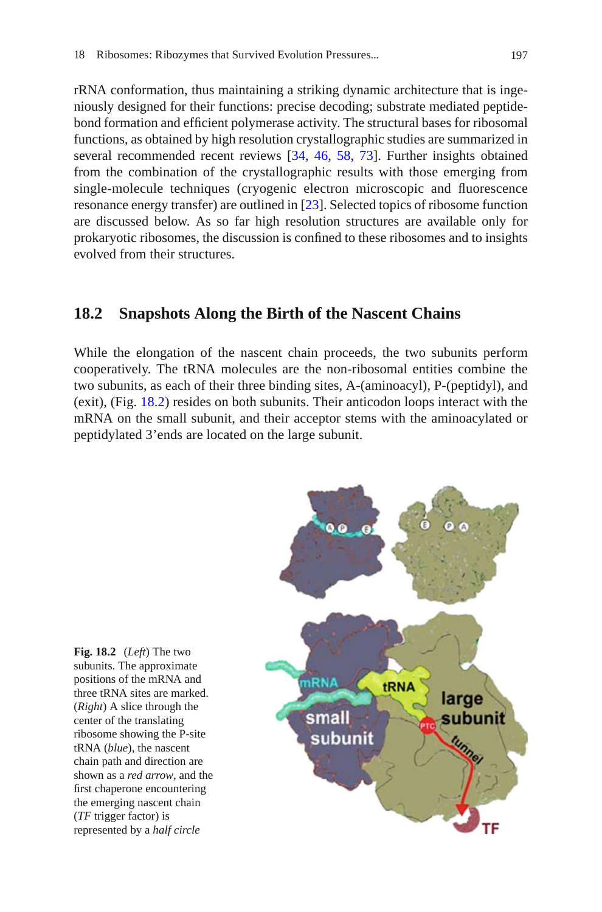<span id="page-2-0"></span>rRNA conformation, thus maintaining a striking dynamic architecture that is ingeniously designed for their functions: precise decoding; substrate mediated peptidebond formation and efficient polymerase activity. The structural bases for ribosomal functions, as obtained by high resolution crystallographic studies are summarized in several recommended recent reviews [34, 46, 58, 73]. Further insights obtained from the combination of the crystallographic results with those emerging from single-molecule techniques (cryogenic electron microscopic and fluorescence resonance energy transfer) are outlined in [ [23 \]](#page-11-0) . Selected topics of ribosome function are discussed below. As so far high resolution structures are available only for prokaryotic ribosomes, the discussion is confined to these ribosomes and to insights evolved from their structures.

## **18.2 Snapshots Along the Birth of the Nascent Chains**

 While the elongation of the nascent chain proceeds, the two subunits perform cooperatively. The tRNA molecules are the non-ribosomal entities combine the two subunits, as each of their three binding sites, A-(aminoacyl), P-(peptidyl), and (exit), (Fig. 18.2 ) resides on both subunits. Their anticodon loops interact with the mRNA on the small subunit, and their acceptor stems with the aminoacylated or peptidylated 3'ends are located on the large subunit.



**Fig. 18.2**  $(Left)$  The two subunits. The approximate positions of the mRNA and three tRNA sites are marked. (*Right*) A slice through the center of the translating ribosome showing the P-site tRNA (*blue*), the nascent chain path and direction are shown as a *red arrow* , and the first chaperone encountering the emerging nascent chain ( *TF* trigger factor) is represented by a *half circle*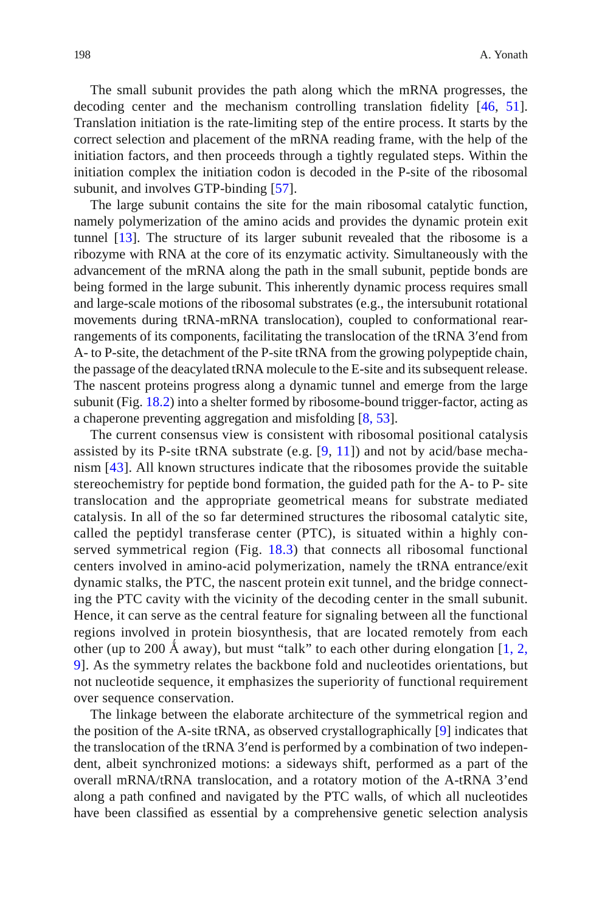The small subunit provides the path along which the mRNA progresses, the decoding center and the mechanism controlling translation fidelity  $[46, 51]$ . Translation initiation is the rate-limiting step of the entire process. It starts by the correct selection and placement of the mRNA reading frame, with the help of the initiation factors, and then proceeds through a tightly regulated steps. Within the initiation complex the initiation codon is decoded in the P-site of the ribosomal subunit, and involves GTP-binding [57].

 The large subunit contains the site for the main ribosomal catalytic function, namely polymerization of the amino acids and provides the dynamic protein exit tunnel  $[13]$ . The structure of its larger subunit revealed that the ribosome is a ribozyme with RNA at the core of its enzymatic activity. Simultaneously with the advancement of the mRNA along the path in the small subunit, peptide bonds are being formed in the large subunit. This inherently dynamic process requires small and large-scale motions of the ribosomal substrates (e.g., the intersubunit rotational movements during tRNA-mRNA translocation), coupled to conformational rearrangements of its components, facilitating the translocation of the tRNA 3'end from A- to P-site, the detachment of the P-site tRNA from the growing polypeptide chain, the passage of the deacylated tRNA molecule to the E-site and its subsequent release. The nascent proteins progress along a dynamic tunnel and emerge from the large subunit (Fig. [18.2](#page-2-0) ) into a shelter formed by ribosome-bound trigger-factor, acting as a chaperone preventing aggregation and misfolding  $[8, 53]$ .

 The current consensus view is consistent with ribosomal positional catalysis assisted by its P-site tRNA substrate (e.g.  $[9, 11]$ ) and not by acid/base mechanism [ [43](#page-12-0) ]. All known structures indicate that the ribosomes provide the suitable stereochemistry for peptide bond formation, the guided path for the A- to P- site translocation and the appropriate geometrical means for substrate mediated catalysis. In all of the so far determined structures the ribosomal catalytic site, called the peptidyl transferase center (PTC), is situated within a highly con-served symmetrical region (Fig. [18.3](#page-4-0)) that connects all ribosomal functional centers involved in amino-acid polymerization, namely the tRNA entrance/exit dynamic stalks, the PTC, the nascent protein exit tunnel, and the bridge connecting the PTC cavity with the vicinity of the decoding center in the small subunit. Hence, it can serve as the central feature for signaling between all the functional regions involved in protein biosynthesis, that are located remotely from each other (up to 200 Å away), but must "talk" to each other during elongation  $[1, 2, 1]$  $[1, 2, 1]$  $[1, 2, 1]$ [9](#page-11-0). As the symmetry relates the backbone fold and nucleotides orientations, but not nucleotide sequence, it emphasizes the superiority of functional requirement over sequence conservation.

 The linkage between the elaborate architecture of the symmetrical region and the position of the A-site tRNA, as observed crystallographically  $[9]$  indicates that the translocation of the tRNA 3' end is performed by a combination of two independent, albeit synchronized motions: a sideways shift, performed as a part of the overall mRNA/tRNA translocation, and a rotatory motion of the A-tRNA 3'end along a path confined and navigated by the PTC walls, of which all nucleotides have been classified as essential by a comprehensive genetic selection analysis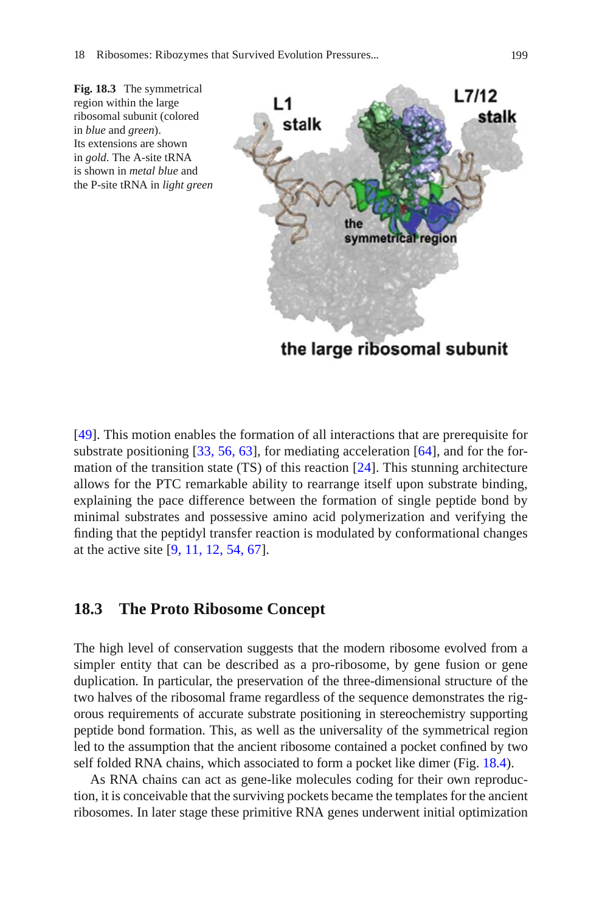<span id="page-4-0"></span>

 [\[ 49](#page-12-0) ] . This motion enables the formation of all interactions that are prerequisite for substrate positioning  $[33, 56, 63]$ , for mediating acceleration  $[64]$ , and for the formation of the transition state (TS) of this reaction  $[24]$ . This stunning architecture allows for the PTC remarkable ability to rearrange itself upon substrate binding, explaining the pace difference between the formation of single peptide bond by minimal substrates and possessive amino acid polymerization and verifying the finding that the peptidyl transfer reaction is modulated by conformational changes at the active site  $[9, 11, 12, 54, 67]$ .

## **18.3 The Proto Ribosome Concept**

 The high level of conservation suggests that the modern ribosome evolved from a simpler entity that can be described as a pro-ribosome, by gene fusion or gene duplication. In particular, the preservation of the three-dimensional structure of the two halves of the ribosomal frame regardless of the sequence demonstrates the rigorous requirements of accurate substrate positioning in stereochemistry supporting peptide bond formation. This, as well as the universality of the symmetrical region led to the assumption that the ancient ribosome contained a pocket confined by two self folded RNA chains, which associated to form a pocket like dimer (Fig. [18.4 \)](#page-5-0).

 As RNA chains can act as gene-like molecules coding for their own reproduction, it is conceivable that the surviving pockets became the templates for the ancient ribosomes. In later stage these primitive RNA genes underwent initial optimization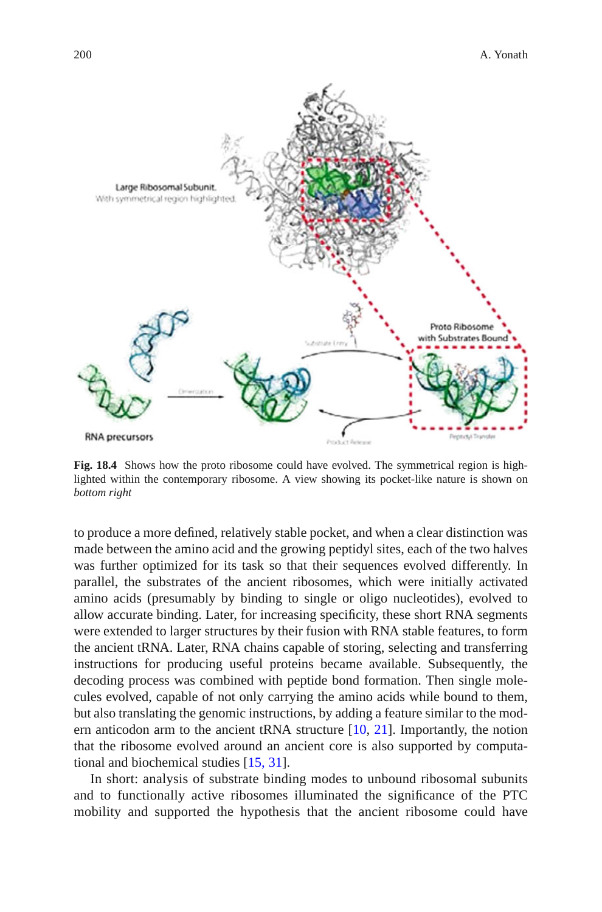<span id="page-5-0"></span>

 **Fig. 18.4** Shows how the proto ribosome could have evolved. The symmetrical region is highlighted within the contemporary ribosome. A view showing its pocket-like nature is shown on *bottom right*

to produce a more defined, relatively stable pocket, and when a clear distinction was made between the amino acid and the growing peptidyl sites, each of the two halves was further optimized for its task so that their sequences evolved differently. In parallel, the substrates of the ancient ribosomes, which were initially activated amino acids (presumably by binding to single or oligo nucleotides), evolved to allow accurate binding. Later, for increasing specificity, these short RNA segments were extended to larger structures by their fusion with RNA stable features, to form the ancient tRNA. Later, RNA chains capable of storing, selecting and transferring instructions for producing useful proteins became available. Subsequently, the decoding process was combined with peptide bond formation. Then single molecules evolved, capable of not only carrying the amino acids while bound to them, but also translating the genomic instructions, by adding a feature similar to the modern anticodon arm to the ancient tRNA structure  $[10, 21]$  $[10, 21]$  $[10, 21]$ . Importantly, the notion that the ribosome evolved around an ancient core is also supported by computa-tional and biochemical studies [15, [31](#page-12-0)].

 In short: analysis of substrate binding modes to unbound ribosomal subunits and to functionally active ribosomes illuminated the significance of the PTC mobility and supported the hypothesis that the ancient ribosome could have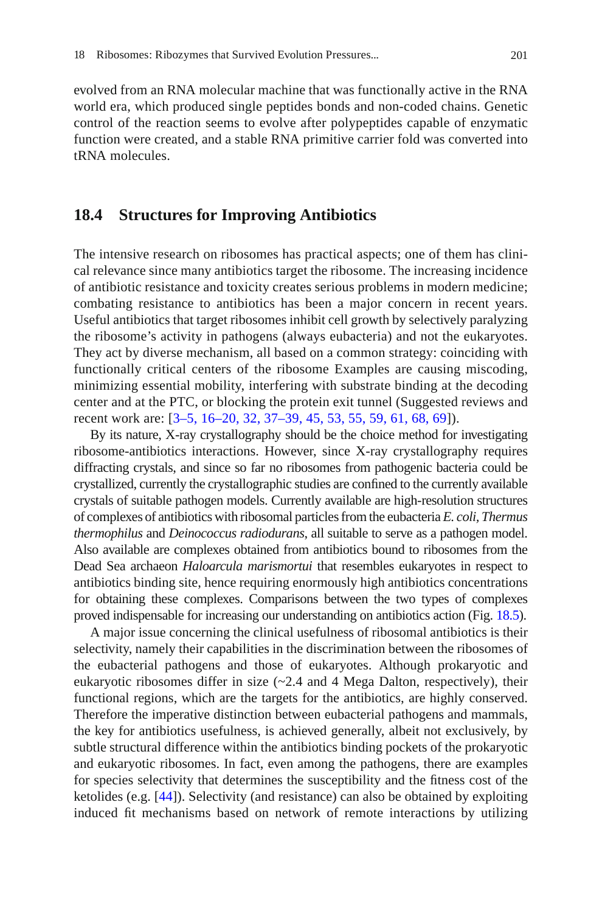evolved from an RNA molecular machine that was functionally active in the RNA world era, which produced single peptides bonds and non-coded chains. Genetic control of the reaction seems to evolve after polypeptides capable of enzymatic function were created, and a stable RNA primitive carrier fold was converted into tRNA molecules.

#### **18.4 Structures for Improving Antibiotics**

 The intensive research on ribosomes has practical aspects; one of them has clinical relevance since many antibiotics target the ribosome. The increasing incidence of antibiotic resistance and toxicity creates serious problems in modern medicine; combating resistance to antibiotics has been a major concern in recent years. Useful antibiotics that target ribosomes inhibit cell growth by selectively paralyzing the ribosome's activity in pathogens (always eubacteria) and not the eukaryotes. They act by diverse mechanism, all based on a common strategy: coinciding with functionally critical centers of the ribosome Examples are causing miscoding, minimizing essential mobility, interfering with substrate binding at the decoding center and at the PTC, or blocking the protein exit tunnel (Suggested reviews and recent work are: [3–5, 16–20, [32, 37–39, 45,](#page-12-0) [53, 55, 59, 61, 68, 69](#page-13-0)]).

 By its nature, X-ray crystallography should be the choice method for investigating ribosome-antibiotics interactions. However, since X-ray crystallography requires diffracting crystals, and since so far no ribosomes from pathogenic bacteria could be crystallized, currently the crystallographic studies are confined to the currently available crystals of suitable pathogen models. Currently available are high-resolution structures of complexes of antibiotics with ribosomal particles from the eubacteria *E. coli, Thermus thermophilus* and *Deinococcus radiodurans* , all suitable to serve as a pathogen model. Also available are complexes obtained from antibiotics bound to ribosomes from the Dead Sea archaeon *Haloarcula marismortui* that resembles eukaryotes in respect to antibiotics binding site, hence requiring enormously high antibiotics concentrations for obtaining these complexes. Comparisons between the two types of complexes proved indispensable for increasing our understanding on antibiotics action (Fig. [18.5](#page-7-0) ).

 A major issue concerning the clinical usefulness of ribosomal antibiotics is their selectivity, namely their capabilities in the discrimination between the ribosomes of the eubacterial pathogens and those of eukaryotes. Although prokaryotic and eukaryotic ribosomes differ in size (~2.4 and 4 Mega Dalton, respectively), their functional regions, which are the targets for the antibiotics, are highly conserved. Therefore the imperative distinction between eubacterial pathogens and mammals, the key for antibiotics usefulness, is achieved generally, albeit not exclusively, by subtle structural difference within the antibiotics binding pockets of the prokaryotic and eukaryotic ribosomes. In fact, even among the pathogens, there are examples for species selectivity that determines the susceptibility and the fitness cost of the ketolides (e.g. [44]). Selectivity (and resistance) can also be obtained by exploiting induced fit mechanisms based on network of remote interactions by utilizing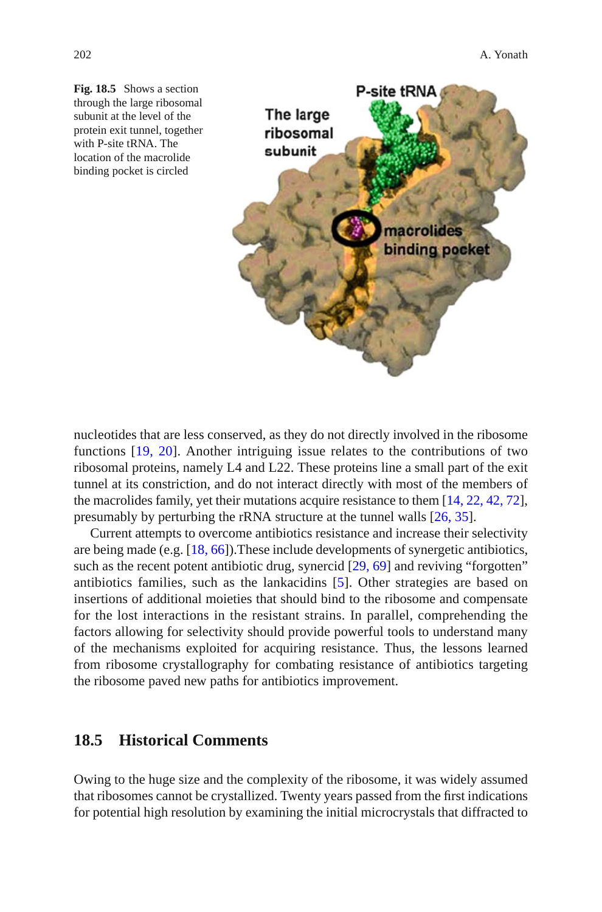<span id="page-7-0"></span>

nucleotides that are less conserved, as they do not directly involved in the ribosome functions  $[19, 20]$ . Another intriguing issue relates to the contributions of two ribosomal proteins, namely L4 and L22. These proteins line a small part of the exit tunnel at its constriction, and do not interact directly with most of the members of the macrolides family, yet their mutations acquire resistance to them  $[14, 22, 42, 72]$  $[14, 22, 42, 72]$  $[14, 22, 42, 72]$ , presumably by perturbing the rRNA structure at the tunnel walls  $[26, 35]$ .

 Current attempts to overcome antibiotics resistance and increase their selectivity are being made (e.g.  $[18, 66]$  $[18, 66]$  $[18, 66]$ ). These include developments of synergetic antibiotics, such as the recent potent antibiotic drug, synercid  $[29, 69]$  $[29, 69]$  $[29, 69]$  and reviving "forgotten" antibiotics families, such as the lankacidins  $[5]$ . Other strategies are based on insertions of additional moieties that should bind to the ribosome and compensate for the lost interactions in the resistant strains. In parallel, comprehending the factors allowing for selectivity should provide powerful tools to understand many of the mechanisms exploited for acquiring resistance. Thus, the lessons learned from ribosome crystallography for combating resistance of antibiotics targeting the ribosome paved new paths for antibiotics improvement.

## **18.5 Historical Comments**

 Owing to the huge size and the complexity of the ribosome, it was widely assumed that ribosomes cannot be crystallized. Twenty years passed from the first indications for potential high resolution by examining the initial microcrystals that diffracted to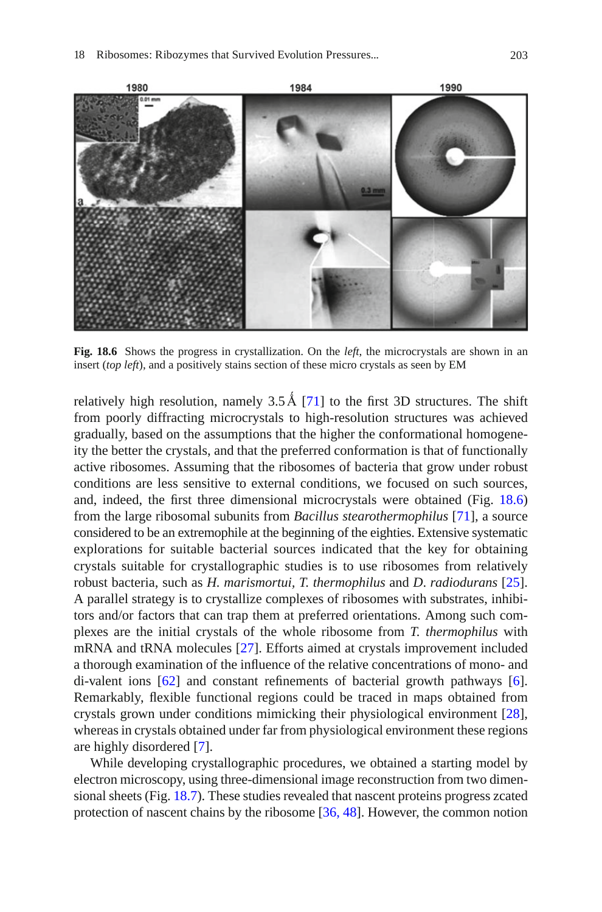

**Fig. 18.6** Shows the progress in crystallization. On the *left*, the microcrystals are shown in an insert *(top left)*, and a positively stains section of these micro crystals as seen by EM

relatively high resolution, namely  $3.5 \text{ Å}$  [71] to the first 3D structures. The shift from poorly diffracting microcrystals to high-resolution structures was achieved gradually, based on the assumptions that the higher the conformational homogeneity the better the crystals, and that the preferred conformation is that of functionally active ribosomes. Assuming that the ribosomes of bacteria that grow under robust conditions are less sensitive to external conditions, we focused on such sources, and, indeed, the first three dimensional microcrystals were obtained (Fig.  $18.6$ ) from the large ribosomal subunits from *Bacillus stearothermophilus* [ [71 \]](#page-13-0) , a source considered to be an extremophile at the beginning of the eighties. Extensive systematic explorations for suitable bacterial sources indicated that the key for obtaining crystals suitable for crystallographic studies is to use ribosomes from relatively robust bacteria, such as *H. marismortui, T. thermophilus* and *D. radiodurans* [25]. A parallel strategy is to crystallize complexes of ribosomes with substrates, inhibitors and/or factors that can trap them at preferred orientations. Among such complexes are the initial crystals of the whole ribosome from *T. thermophilus* with mRNA and tRNA molecules [27]. Efforts aimed at crystals improvement included a thorough examination of the influence of the relative concentrations of mono- and di-valent ions  $[62]$  and constant refinements of bacterial growth pathways  $[6]$ . Remarkably, flexible functional regions could be traced in maps obtained from crystals grown under conditions mimicking their physiological environment [28], whereas in crystals obtained under far from physiological environment these regions are highly disordered [7].

 While developing crystallographic procedures, we obtained a starting model by electron microscopy, using three-dimensional image reconstruction from two dimen-sional sheets (Fig. [18.7](#page-9-0)). These studies revealed that nascent proteins progress zcated protection of nascent chains by the ribosome [36, 48]. However, the common notion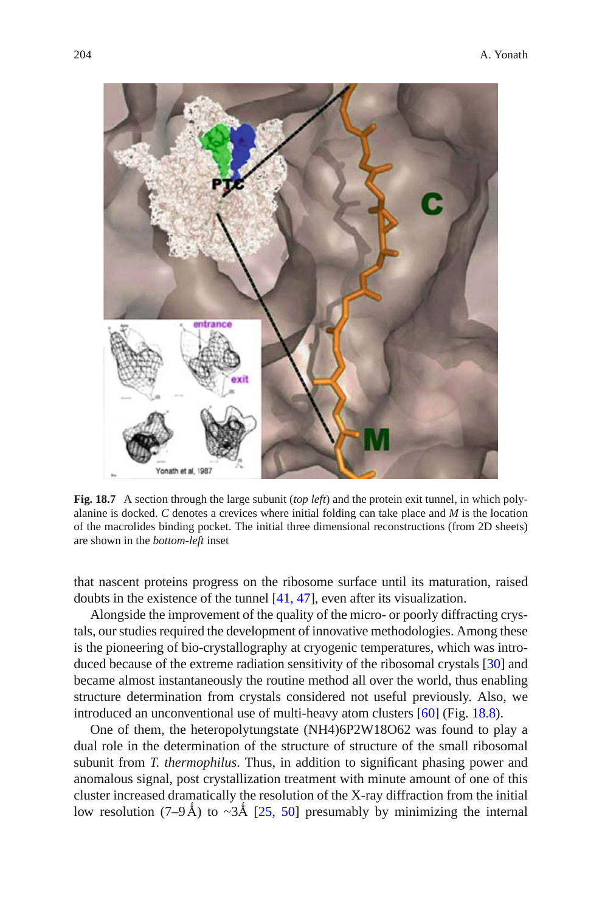<span id="page-9-0"></span>

**Fig. 18.7** A section through the large subunit (*top left*) and the protein exit tunnel, in which polyalanine is docked. *C* denotes a crevices where initial folding can take place and *M* is the location of the macrolides binding pocket. The initial three dimensional reconstructions (from 2D sheets) are shown in the *bottom-left* inset

that nascent proteins progress on the ribosome surface until its maturation, raised doubts in the existence of the tunnel  $[41, 47]$ , even after its visualization.

 Alongside the improvement of the quality of the micro- or poorly diffracting crystals, our studies required the development of innovative methodologies. Among these is the pioneering of bio-crystallography at cryogenic temperatures, which was introduced because of the extreme radiation sensitivity of the ribosomal crystals [30] and became almost instantaneously the routine method all over the world, thus enabling structure determination from crystals considered not useful previously. Also, we introduced an unconventional use of multi-heavy atom clusters [60] (Fig. [18.8](#page-10-0)).

 One of them, the heteropolytungstate (NH4)6P2W18O62 was found to play a dual role in the determination of the structure of structure of the small ribosomal subunit from *T. thermophilus*. Thus, in addition to significant phasing power and anomalous signal, post crystallization treatment with minute amount of one of this cluster increased dramatically the resolution of the X-ray diffraction from the initial low resolution (7–9Å) to  $\sim$ 3Å [25, [50](#page-13-0)] presumably by minimizing the internal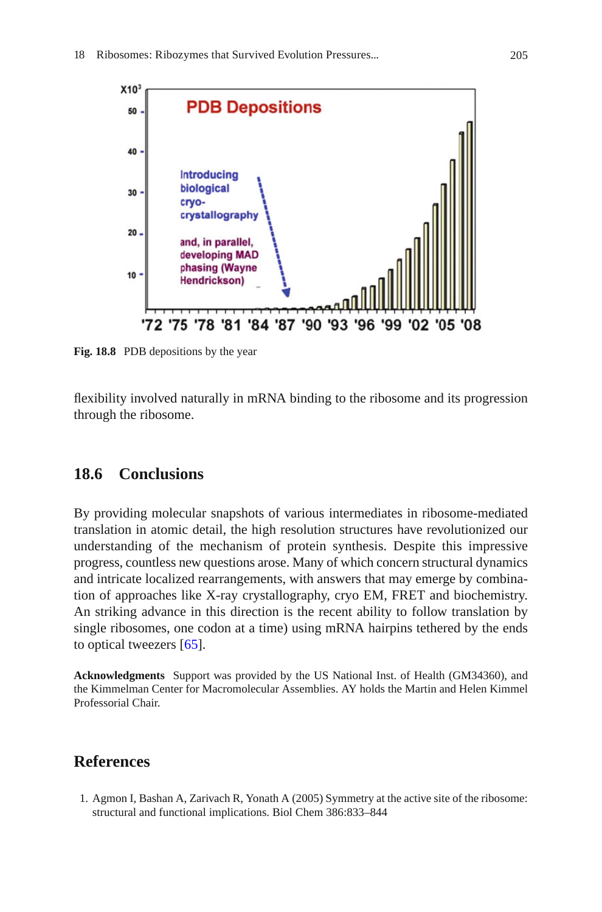<span id="page-10-0"></span>

 **Fig. 18.8** PDB depositions by the year

flexibility involved naturally in mRNA binding to the ribosome and its progression through the ribosome.

# **18.6 Conclusions**

 By providing molecular snapshots of various intermediates in ribosome-mediated translation in atomic detail, the high resolution structures have revolutionized our understanding of the mechanism of protein synthesis. Despite this impressive progress, countless new questions arose. Many of which concern structural dynamics and intricate localized rearrangements, with answers that may emerge by combination of approaches like X-ray crystallography, cryo EM, FRET and biochemistry. An striking advance in this direction is the recent ability to follow translation by single ribosomes, one codon at a time) using mRNA hairpins tethered by the ends to optical tweezers  $[65]$ .

 **Acknowledgments** Support was provided by the US National Inst. of Health (GM34360), and the Kimmelman Center for Macromolecular Assemblies. AY holds the Martin and Helen Kimmel Professorial Chair.

## **References**

 1. Agmon I, Bashan A, Zarivach R, Yonath A (2005) Symmetry at the active site of the ribosome: structural and functional implications. Biol Chem 386:833–844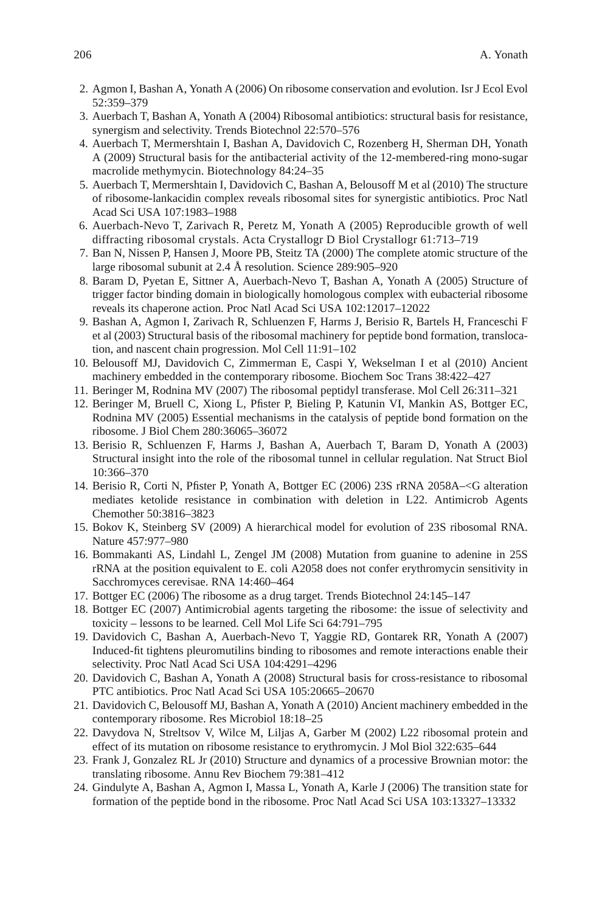- <span id="page-11-0"></span> 2. Agmon I, Bashan A, Yonath A (2006) On ribosome conservation and evolution. Isr J Ecol Evol 52:359–379
- 3. Auerbach T, Bashan A, Yonath A (2004) Ribosomal antibiotics: structural basis for resistance, synergism and selectivity. Trends Biotechnol 22:570–576
- 4. Auerbach T, Mermershtain I, Bashan A, Davidovich C, Rozenberg H, Sherman DH, Yonath A (2009) Structural basis for the antibacterial activity of the 12-membered-ring mono-sugar macrolide methymycin. Biotechnology 84:24–35
- 5. Auerbach T, Mermershtain I, Davidovich C, Bashan A, Belousoff M et al (2010) The structure of ribosome-lankacidin complex reveals ribosomal sites for synergistic antibiotics. Proc Natl Acad Sci USA 107:1983–1988
- 6. Auerbach-Nevo T, Zarivach R, Peretz M, Yonath A (2005) Reproducible growth of well diffracting ribosomal crystals. Acta Crystallogr D Biol Crystallogr 61:713–719
- 7. Ban N, Nissen P, Hansen J, Moore PB, Steitz TA (2000) The complete atomic structure of the large ribosomal subunit at 2.4 Å resolution. Science 289:905–920
- 8. Baram D, Pyetan E, Sittner A, Auerbach-Nevo T, Bashan A, Yonath A (2005) Structure of trigger factor binding domain in biologically homologous complex with eubacterial ribosome reveals its chaperone action. Proc Natl Acad Sci USA 102:12017–12022
- 9. Bashan A, Agmon I, Zarivach R, Schluenzen F, Harms J, Berisio R, Bartels H, Franceschi F et al (2003) Structural basis of the ribosomal machinery for peptide bond formation, translocation, and nascent chain progression. Mol Cell 11:91–102
- 10. Belousoff MJ, Davidovich C, Zimmerman E, Caspi Y, Wekselman I et al (2010) Ancient machinery embedded in the contemporary ribosome. Biochem Soc Trans 38:422–427
- 11. Beringer M, Rodnina MV (2007) The ribosomal peptidyl transferase. Mol Cell 26:311–321
- 12. Beringer M, Bruell C, Xiong L, Pfister P, Bieling P, Katunin VI, Mankin AS, Bottger EC, Rodnina MV (2005) Essential mechanisms in the catalysis of peptide bond formation on the ribosome. J Biol Chem 280:36065–36072
- 13. Berisio R, Schluenzen F, Harms J, Bashan A, Auerbach T, Baram D, Yonath A (2003) Structural insight into the role of the ribosomal tunnel in cellular regulation. Nat Struct Biol 10:366–370
- 14. Berisio R, Corti N, Pfister P, Yonath A, Bottger EC (2006) 23S rRNA 2058A-<G alteration mediates ketolide resistance in combination with deletion in L22. Antimicrob Agents Chemother 50:3816–3823
- 15. Bokov K, Steinberg SV (2009) A hierarchical model for evolution of 23S ribosomal RNA. Nature 457:977–980
- 16. Bommakanti AS, Lindahl L, Zengel JM (2008) Mutation from guanine to adenine in 25S rRNA at the position equivalent to E. coli A2058 does not confer erythromycin sensitivity in Sacchromyces cerevisae. RNA 14:460–464
- 17. Bottger EC (2006) The ribosome as a drug target. Trends Biotechnol 24:145–147
- 18. Bottger EC (2007) Antimicrobial agents targeting the ribosome: the issue of selectivity and toxicity – lessons to be learned. Cell Mol Life Sci 64:791–795
- 19. Davidovich C, Bashan A, Auerbach-Nevo T, Yaggie RD, Gontarek RR, Yonath A (2007) Induced-fi t tightens pleuromutilins binding to ribosomes and remote interactions enable their selectivity. Proc Natl Acad Sci USA 104:4291–4296
- 20. Davidovich C, Bashan A, Yonath A (2008) Structural basis for cross-resistance to ribosomal PTC antibiotics. Proc Natl Acad Sci USA 105:20665–20670
- 21. Davidovich C, Belousoff MJ, Bashan A, Yonath A (2010) Ancient machinery embedded in the contemporary ribosome. Res Microbiol 18:18–25
- 22. Davydova N, Streltsov V, Wilce M, Liljas A, Garber M (2002) L22 ribosomal protein and effect of its mutation on ribosome resistance to erythromycin. J Mol Biol 322:635–644
- 23. Frank J, Gonzalez RL Jr (2010) Structure and dynamics of a processive Brownian motor: the translating ribosome. Annu Rev Biochem 79:381–412
- 24. Gindulyte A, Bashan A, Agmon I, Massa L, Yonath A, Karle J (2006) The transition state for formation of the peptide bond in the ribosome. Proc Natl Acad Sci USA 103:13327–13332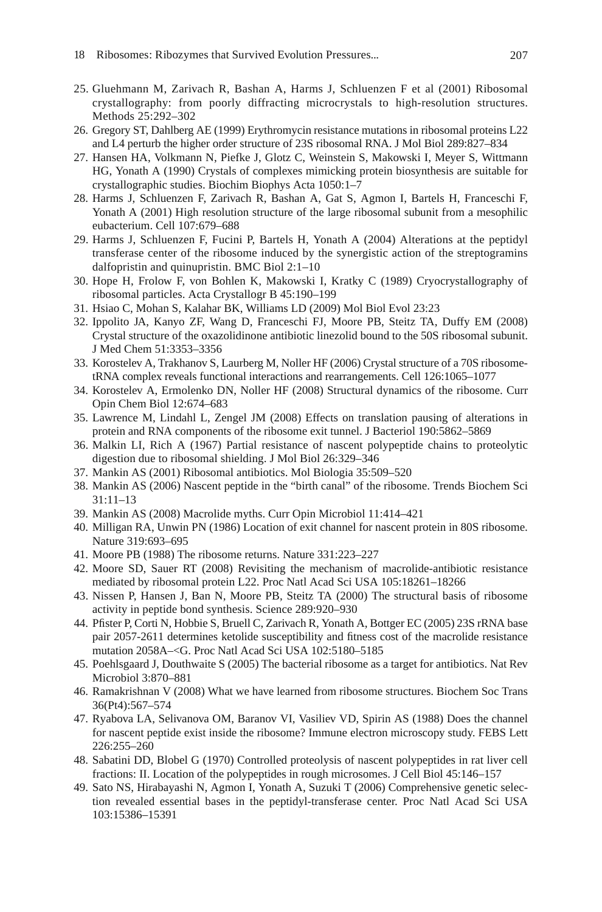- <span id="page-12-0"></span> 25. Gluehmann M, Zarivach R, Bashan A, Harms J, Schluenzen F et al (2001) Ribosomal crystallography: from poorly diffracting microcrystals to high-resolution structures. Methods 25:292–302
- 26. Gregory ST, Dahlberg AE (1999) Erythromycin resistance mutations in ribosomal proteins L22 and L4 perturb the higher order structure of 23S ribosomal RNA. J Mol Biol 289:827–834
- 27. Hansen HA, Volkmann N, Piefke J, Glotz C, Weinstein S, Makowski I, Meyer S, Wittmann HG, Yonath A (1990) Crystals of complexes mimicking protein biosynthesis are suitable for crystallographic studies. Biochim Biophys Acta 1050:1–7
- 28. Harms J, Schluenzen F, Zarivach R, Bashan A, Gat S, Agmon I, Bartels H, Franceschi F, Yonath A (2001) High resolution structure of the large ribosomal subunit from a mesophilic eubacterium. Cell 107:679–688
- 29. Harms J, Schluenzen F, Fucini P, Bartels H, Yonath A (2004) Alterations at the peptidyl transferase center of the ribosome induced by the synergistic action of the streptogramins dalfopristin and quinupristin. BMC Biol 2:1–10
- 30. Hope H, Frolow F, von Bohlen K, Makowski I, Kratky C (1989) Cryocrystallography of ribosomal particles. Acta Crystallogr B 45:190–199
- 31. Hsiao C, Mohan S, Kalahar BK, Williams LD (2009) Mol Biol Evol 23:23
- 32. Ippolito JA, Kanyo ZF, Wang D, Franceschi FJ, Moore PB, Steitz TA, Duffy EM (2008) Crystal structure of the oxazolidinone antibiotic linezolid bound to the 50S ribosomal subunit. J Med Chem 51:3353–3356
- 33. Korostelev A, Trakhanov S, Laurberg M, Noller HF (2006) Crystal structure of a 70S ribosometRNA complex reveals functional interactions and rearrangements. Cell 126:1065–1077
- 34. Korostelev A, Ermolenko DN, Noller HF (2008) Structural dynamics of the ribosome. Curr Opin Chem Biol 12:674–683
- 35. Lawrence M, Lindahl L, Zengel JM (2008) Effects on translation pausing of alterations in protein and RNA components of the ribosome exit tunnel. J Bacteriol 190:5862–5869
- 36. Malkin LI, Rich A (1967) Partial resistance of nascent polypeptide chains to proteolytic digestion due to ribosomal shielding. J Mol Biol 26:329–346
- 37. Mankin AS (2001) Ribosomal antibiotics. Mol Biologia 35:509–520
- 38. Mankin AS (2006) Nascent peptide in the "birth canal" of the ribosome. Trends Biochem Sci 31:11–13
- 39. Mankin AS (2008) Macrolide myths. Curr Opin Microbiol 11:414–421
- 40. Milligan RA, Unwin PN (1986) Location of exit channel for nascent protein in 80S ribosome. Nature 319:693–695
- 41. Moore PB (1988) The ribosome returns. Nature 331:223–227
- 42. Moore SD, Sauer RT (2008) Revisiting the mechanism of macrolide-antibiotic resistance mediated by ribosomal protein L22. Proc Natl Acad Sci USA 105:18261–18266
- 43. Nissen P, Hansen J, Ban N, Moore PB, Steitz TA (2000) The structural basis of ribosome activity in peptide bond synthesis. Science 289:920–930
- 44. Pfister P, Corti N, Hobbie S, Bruell C, Zarivach R, Yonath A, Bottger EC (2005) 23S rRNA base pair 2057-2611 determines ketolide susceptibility and fitness cost of the macrolide resistance mutation 2058A–<G. Proc Natl Acad Sci USA 102:5180–5185
- 45. Poehlsgaard J, Douthwaite S (2005) The bacterial ribosome as a target for antibiotics. Nat Rev Microbiol 3:870–881
- 46. Ramakrishnan V (2008) What we have learned from ribosome structures. Biochem Soc Trans 36(Pt4):567–574
- 47. Ryabova LA, Selivanova OM, Baranov VI, Vasiliev VD, Spirin AS (1988) Does the channel for nascent peptide exist inside the ribosome? Immune electron microscopy study. FEBS Lett 226:255–260
- 48. Sabatini DD, Blobel G (1970) Controlled proteolysis of nascent polypeptides in rat liver cell fractions: II. Location of the polypeptides in rough microsomes. J Cell Biol 45:146–157
- 49. Sato NS, Hirabayashi N, Agmon I, Yonath A, Suzuki T (2006) Comprehensive genetic selection revealed essential bases in the peptidyl-transferase center. Proc Natl Acad Sci USA 103:15386–15391